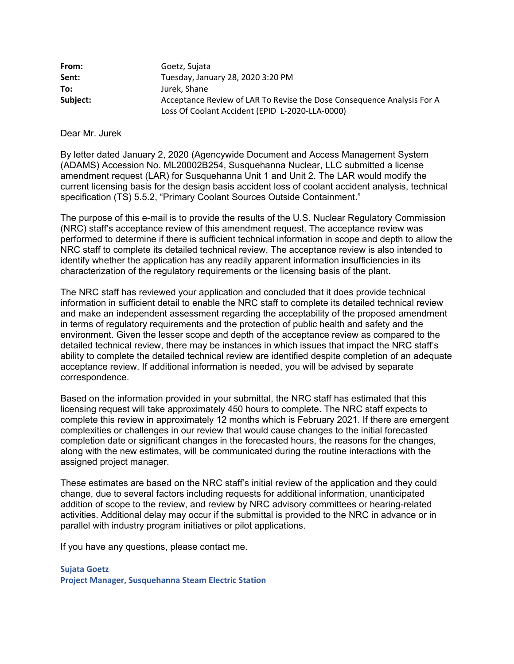| From:    | Goetz, Sujata                                                          |  |
|----------|------------------------------------------------------------------------|--|
| Sent:    | Tuesday, January 28, 2020 3:20 PM                                      |  |
| To:      | Jurek, Shane                                                           |  |
| Subject: | Acceptance Review of LAR To Revise the Dose Consequence Analysis For A |  |
|          | Loss Of Coolant Accident (EPID L-2020-LLA-0000)                        |  |

Dear Mr. Jurek

By letter dated January 2, 2020 (Agencywide Document and Access Management System (ADAMS) Accession No. ML20002B254, Susquehanna Nuclear, LLC submitted a license amendment request (LAR) for Susquehanna Unit 1 and Unit 2. The LAR would modify the current licensing basis for the design basis accident loss of coolant accident analysis, technical specification (TS) 5.5.2, "Primary Coolant Sources Outside Containment."

The purpose of this e-mail is to provide the results of the U.S. Nuclear Regulatory Commission (NRC) staff's acceptance review of this amendment request. The acceptance review was performed to determine if there is sufficient technical information in scope and depth to allow the NRC staff to complete its detailed technical review. The acceptance review is also intended to identify whether the application has any readily apparent information insufficiencies in its characterization of the regulatory requirements or the licensing basis of the plant.

The NRC staff has reviewed your application and concluded that it does provide technical information in sufficient detail to enable the NRC staff to complete its detailed technical review and make an independent assessment regarding the acceptability of the proposed amendment in terms of regulatory requirements and the protection of public health and safety and the environment. Given the lesser scope and depth of the acceptance review as compared to the detailed technical review, there may be instances in which issues that impact the NRC staff's ability to complete the detailed technical review are identified despite completion of an adequate acceptance review. If additional information is needed, you will be advised by separate correspondence.

Based on the information provided in your submittal, the NRC staff has estimated that this licensing request will take approximately 450 hours to complete. The NRC staff expects to complete this review in approximately 12 months which is February 2021. If there are emergent complexities or challenges in our review that would cause changes to the initial forecasted completion date or significant changes in the forecasted hours, the reasons for the changes, along with the new estimates, will be communicated during the routine interactions with the assigned project manager.

These estimates are based on the NRC staff's initial review of the application and they could change, due to several factors including requests for additional information, unanticipated addition of scope to the review, and review by NRC advisory committees or hearing-related activities. Additional delay may occur if the submittal is provided to the NRC in advance or in parallel with industry program initiatives or pilot applications.

If you have any questions, please contact me.

**Sujata Goetz Project Manager, Susquehanna Steam Electric Station**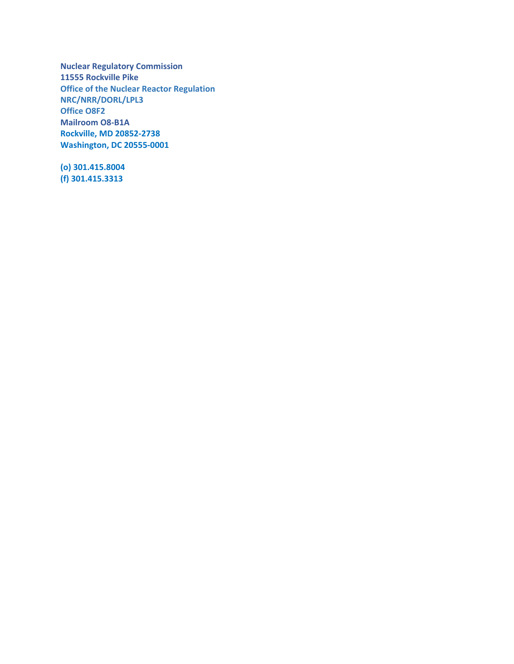**Nuclear Regulatory Commission 11555 Rockville Pike Office of the Nuclear Reactor Regulation NRC/NRR/DORL/LPL3 Office O8F2 Mailroom O8-B1A Rockville, MD 20852-2738 Washington, DC 20555-0001** 

**(o) 301.415.8004 (f) 301.415.3313**